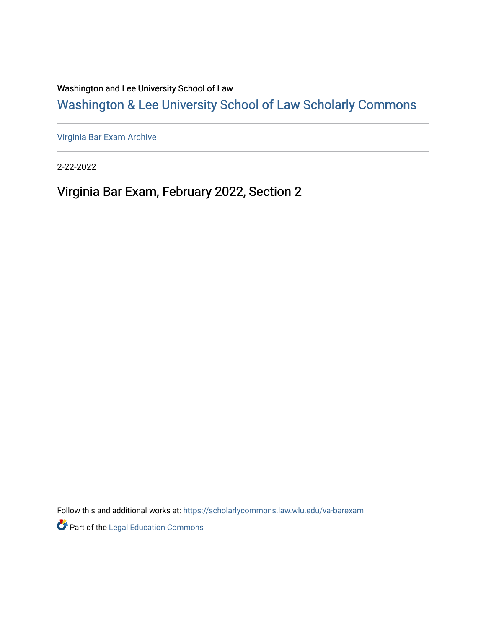Washington and Lee University School of Law

[Washington & Lee University School of Law Scholarly Commons](https://scholarlycommons.law.wlu.edu/) 

[Virginia Bar Exam Archive](https://scholarlycommons.law.wlu.edu/va-barexam)

2-22-2022

Virginia Bar Exam, February 2022, Section 2

Follow this and additional works at: [https://scholarlycommons.law.wlu.edu/va-barexam](https://scholarlycommons.law.wlu.edu/va-barexam?utm_source=scholarlycommons.law.wlu.edu%2Fva-barexam%2F210&utm_medium=PDF&utm_campaign=PDFCoverPages) 

**Part of the Legal Education Commons**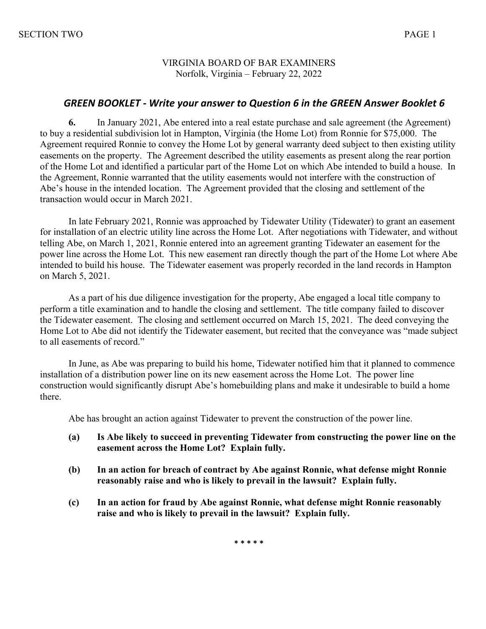### VIRGINIA BOARD OF BAR EXAMINERS Norfolk, Virginia – February 22, 2022

### *GREEN BOOKLET - Write your answer to Question 6 in the GREEN Answer Booklet 6*

**6.** In January 2021, Abe entered into a real estate purchase and sale agreement (the Agreement) to buy a residential subdivision lot in Hampton, Virginia (the Home Lot) from Ronnie for \$75,000. The Agreement required Ronnie to convey the Home Lot by general warranty deed subject to then existing utility easements on the property. The Agreement described the utility easements as present along the rear portion of the Home Lot and identified a particular part of the Home Lot on which Abe intended to build a house. In the Agreement, Ronnie warranted that the utility easements would not interfere with the construction of Abe's house in the intended location. The Agreement provided that the closing and settlement of the transaction would occur in March 2021.

In late February 2021, Ronnie was approached by Tidewater Utility (Tidewater) to grant an easement for installation of an electric utility line across the Home Lot. After negotiations with Tidewater, and without telling Abe, on March 1, 2021, Ronnie entered into an agreement granting Tidewater an easement for the power line across the Home Lot. This new easement ran directly though the part of the Home Lot where Abe intended to build his house. The Tidewater easement was properly recorded in the land records in Hampton on March 5, 2021.

As a part of his due diligence investigation for the property, Abe engaged a local title company to perform a title examination and to handle the closing and settlement. The title company failed to discover the Tidewater easement. The closing and settlement occurred on March 15, 2021. The deed conveying the Home Lot to Abe did not identify the Tidewater easement, but recited that the conveyance was "made subject to all easements of record."

In June, as Abe was preparing to build his home, Tidewater notified him that it planned to commence installation of a distribution power line on its new easement across the Home Lot. The power line construction would significantly disrupt Abe's homebuilding plans and make it undesirable to build a home there.

Abe has brought an action against Tidewater to prevent the construction of the power line.

- **(a) Is Abe likely to succeed in preventing Tidewater from constructing the power line on the easement across the Home Lot? Explain fully.**
- **(b) In an action for breach of contract by Abe against Ronnie, what defense might Ronnie reasonably raise and who is likely to prevail in the lawsuit? Explain fully.**
- **(c) In an action for fraud by Abe against Ronnie, what defense might Ronnie reasonably raise and who is likely to prevail in the lawsuit? Explain fully.**

**\* \* \* \* \***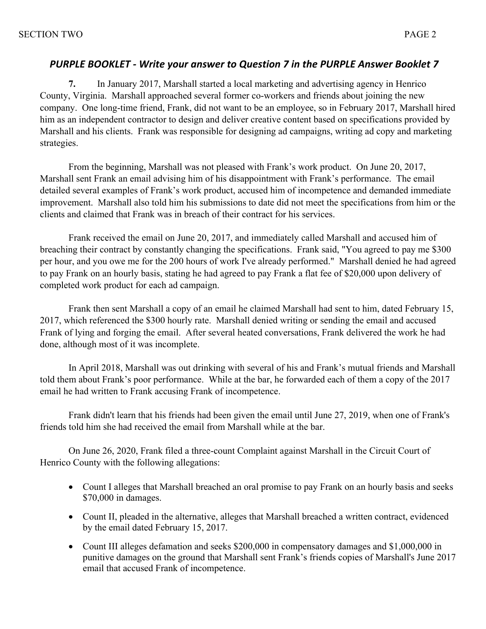## *PURPLE BOOKLET - Write your answer to Question 7 in the PURPLE Answer Booklet 7*

**7.** In January 2017, Marshall started a local marketing and advertising agency in Henrico County, Virginia. Marshall approached several former co-workers and friends about joining the new company. One long-time friend, Frank, did not want to be an employee, so in February 2017, Marshall hired him as an independent contractor to design and deliver creative content based on specifications provided by Marshall and his clients. Frank was responsible for designing ad campaigns, writing ad copy and marketing strategies.

From the beginning, Marshall was not pleased with Frank's work product. On June 20, 2017, Marshall sent Frank an email advising him of his disappointment with Frank's performance. The email detailed several examples of Frank's work product, accused him of incompetence and demanded immediate improvement. Marshall also told him his submissions to date did not meet the specifications from him or the clients and claimed that Frank was in breach of their contract for his services.

Frank received the email on June 20, 2017, and immediately called Marshall and accused him of breaching their contract by constantly changing the specifications. Frank said, "You agreed to pay me \$300 per hour, and you owe me for the 200 hours of work I've already performed." Marshall denied he had agreed to pay Frank on an hourly basis, stating he had agreed to pay Frank a flat fee of \$20,000 upon delivery of completed work product for each ad campaign.

Frank then sent Marshall a copy of an email he claimed Marshall had sent to him, dated February 15, 2017, which referenced the \$300 hourly rate. Marshall denied writing or sending the email and accused Frank of lying and forging the email. After several heated conversations, Frank delivered the work he had done, although most of it was incomplete.

In April 2018, Marshall was out drinking with several of his and Frank's mutual friends and Marshall told them about Frank's poor performance. While at the bar, he forwarded each of them a copy of the 2017 email he had written to Frank accusing Frank of incompetence.

Frank didn't learn that his friends had been given the email until June 27, 2019, when one of Frank's friends told him she had received the email from Marshall while at the bar.

On June 26, 2020, Frank filed a three-count Complaint against Marshall in the Circuit Court of Henrico County with the following allegations:

- Count I alleges that Marshall breached an oral promise to pay Frank on an hourly basis and seeks \$70,000 in damages.
- Count II, pleaded in the alternative, alleges that Marshall breached a written contract, evidenced by the email dated February 15, 2017.
- Count III alleges defamation and seeks \$200,000 in compensatory damages and \$1,000,000 in punitive damages on the ground that Marshall sent Frank's friends copies of Marshall's June 2017 email that accused Frank of incompetence.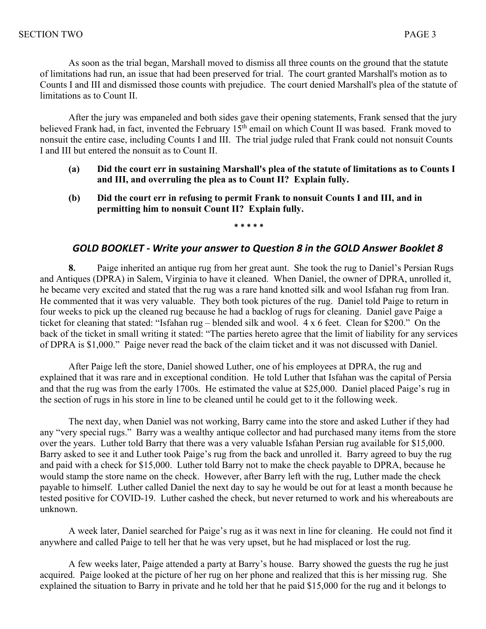As soon as the trial began, Marshall moved to dismiss all three counts on the ground that the statute of limitations had run, an issue that had been preserved for trial. The court granted Marshall's motion as to Counts I and III and dismissed those counts with prejudice. The court denied Marshall's plea of the statute of limitations as to Count II.

After the jury was empaneled and both sides gave their opening statements, Frank sensed that the jury believed Frank had, in fact, invented the February 15<sup>th</sup> email on which Count II was based. Frank moved to nonsuit the entire case, including Counts I and III. The trial judge ruled that Frank could not nonsuit Counts I and III but entered the nonsuit as to Count II.

- **(a) Did the court err in sustaining Marshall's plea of the statute of limitations as to Counts I and III, and overruling the plea as to Count II? Explain fully.**
- **(b) Did the court err in refusing to permit Frank to nonsuit Counts I and III, and in permitting him to nonsuit Count II? Explain fully.**

**\* \* \* \* \***

### *GOLD BOOKLET - Write your answer to Question 8 in the GOLD Answer Booklet 8*

**8.** Paige inherited an antique rug from her great aunt. She took the rug to Daniel's Persian Rugs and Antiques (DPRA) in Salem, Virginia to have it cleaned. When Daniel, the owner of DPRA, unrolled it, he became very excited and stated that the rug was a rare hand knotted silk and wool Isfahan rug from Iran. He commented that it was very valuable. They both took pictures of the rug. Daniel told Paige to return in four weeks to pick up the cleaned rug because he had a backlog of rugs for cleaning. Daniel gave Paige a ticket for cleaning that stated: "Isfahan rug – blended silk and wool. 4 x 6 feet. Clean for \$200." On the back of the ticket in small writing it stated: "The parties hereto agree that the limit of liability for any services of DPRA is \$1,000." Paige never read the back of the claim ticket and it was not discussed with Daniel.

After Paige left the store, Daniel showed Luther, one of his employees at DPRA, the rug and explained that it was rare and in exceptional condition. He told Luther that Isfahan was the capital of Persia and that the rug was from the early 1700s. He estimated the value at \$25,000. Daniel placed Paige's rug in the section of rugs in his store in line to be cleaned until he could get to it the following week.

The next day, when Daniel was not working, Barry came into the store and asked Luther if they had any "very special rugs." Barry was a wealthy antique collector and had purchased many items from the store over the years. Luther told Barry that there was a very valuable Isfahan Persian rug available for \$15,000. Barry asked to see it and Luther took Paige's rug from the back and unrolled it. Barry agreed to buy the rug and paid with a check for \$15,000. Luther told Barry not to make the check payable to DPRA, because he would stamp the store name on the check. However, after Barry left with the rug, Luther made the check payable to himself. Luther called Daniel the next day to say he would be out for at least a month because he tested positive for COVID-19. Luther cashed the check, but never returned to work and his whereabouts are unknown.

A week later, Daniel searched for Paige's rug as it was next in line for cleaning. He could not find it anywhere and called Paige to tell her that he was very upset, but he had misplaced or lost the rug.

A few weeks later, Paige attended a party at Barry's house. Barry showed the guests the rug he just acquired. Paige looked at the picture of her rug on her phone and realized that this is her missing rug. She explained the situation to Barry in private and he told her that he paid \$15,000 for the rug and it belongs to